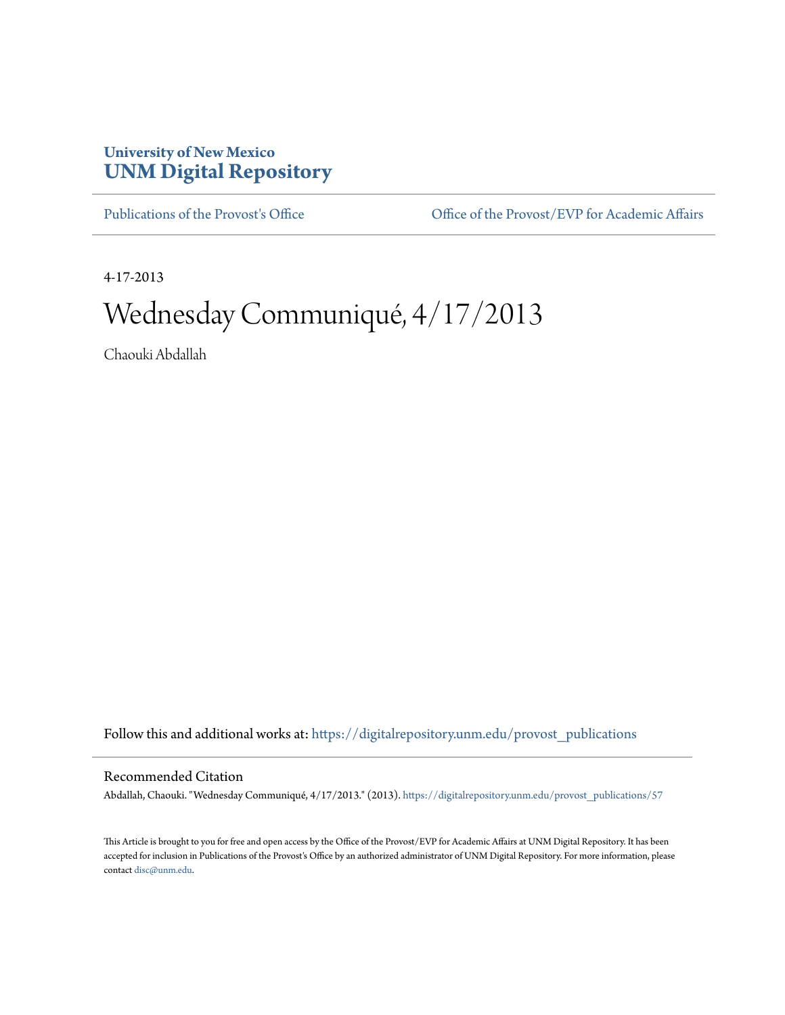## **University of New Mexico [UNM Digital Repository](https://digitalrepository.unm.edu?utm_source=digitalrepository.unm.edu%2Fprovost_publications%2F57&utm_medium=PDF&utm_campaign=PDFCoverPages)**

[Publications of the Provost's Office](https://digitalrepository.unm.edu/provost_publications?utm_source=digitalrepository.unm.edu%2Fprovost_publications%2F57&utm_medium=PDF&utm_campaign=PDFCoverPages) Office [Office of the Provost/EVP for Academic Affairs](https://digitalrepository.unm.edu/ofc_provost?utm_source=digitalrepository.unm.edu%2Fprovost_publications%2F57&utm_medium=PDF&utm_campaign=PDFCoverPages)

4-17-2013

# Wednesday Communiqué, 4/17/2013

Chaouki Abdallah

Follow this and additional works at: [https://digitalrepository.unm.edu/provost\\_publications](https://digitalrepository.unm.edu/provost_publications?utm_source=digitalrepository.unm.edu%2Fprovost_publications%2F57&utm_medium=PDF&utm_campaign=PDFCoverPages)

#### Recommended Citation

Abdallah, Chaouki. "Wednesday Communiqué, 4/17/2013." (2013). [https://digitalrepository.unm.edu/provost\\_publications/57](https://digitalrepository.unm.edu/provost_publications/57?utm_source=digitalrepository.unm.edu%2Fprovost_publications%2F57&utm_medium=PDF&utm_campaign=PDFCoverPages)

This Article is brought to you for free and open access by the Office of the Provost/EVP for Academic Affairs at UNM Digital Repository. It has been accepted for inclusion in Publications of the Provost's Office by an authorized administrator of UNM Digital Repository. For more information, please contact [disc@unm.edu.](mailto:disc@unm.edu)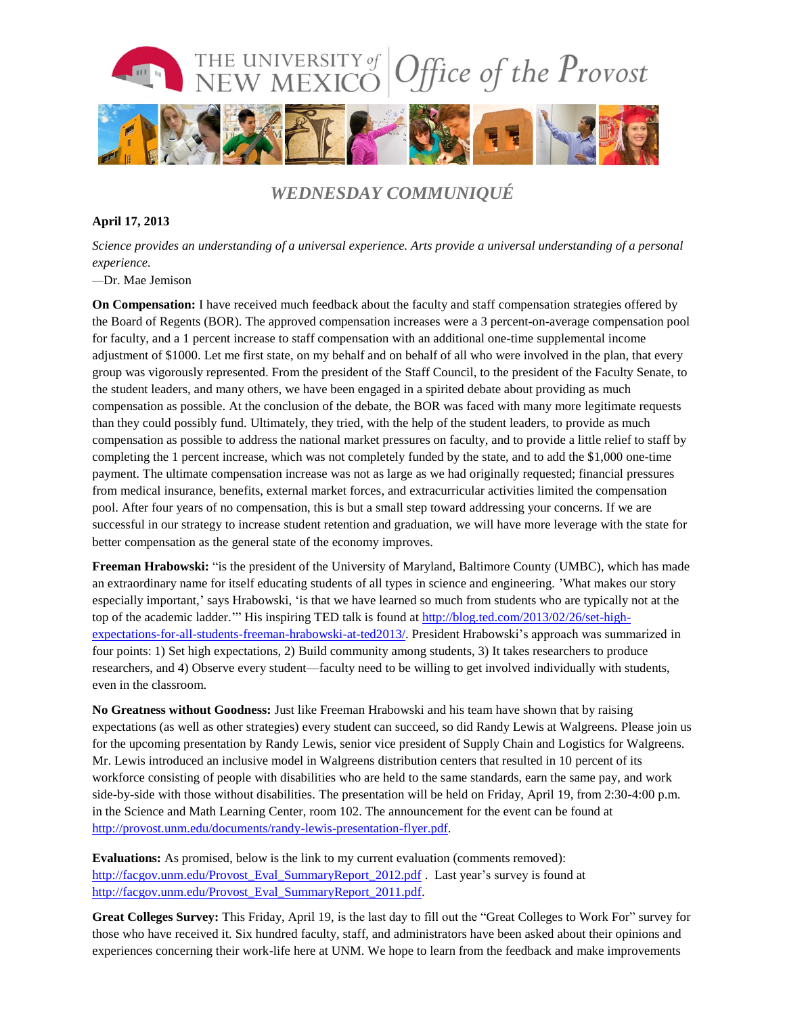

## *WEDNESDAY COMMUNIQUÉ*

### **April 17, 2013**

*Science provides an understanding of a universal experience. Arts provide a universal understanding of a personal experience.*

*—*Dr. Mae Jemison

**On Compensation:** I have received much feedback about the faculty and staff compensation strategies offered by the Board of Regents (BOR). The approved compensation increases were a 3 percent-on-average compensation pool for faculty, and a 1 percent increase to staff compensation with an additional one-time supplemental income adjustment of \$1000. Let me first state, on my behalf and on behalf of all who were involved in the plan, that every group was vigorously represented. From the president of the Staff Council, to the president of the Faculty Senate, to the student leaders, and many others, we have been engaged in a spirited debate about providing as much compensation as possible. At the conclusion of the debate, the BOR was faced with many more legitimate requests than they could possibly fund. Ultimately, they tried, with the help of the student leaders, to provide as much compensation as possible to address the national market pressures on faculty, and to provide a little relief to staff by completing the 1 percent increase, which was not completely funded by the state, and to add the \$1,000 one-time payment. The ultimate compensation increase was not as large as we had originally requested; financial pressures from medical insurance, benefits, external market forces, and extracurricular activities limited the compensation pool. After four years of no compensation, this is but a small step toward addressing your concerns. If we are successful in our strategy to increase student retention and graduation, we will have more leverage with the state for better compensation as the general state of the economy improves.

**Freeman Hrabowski:** "is the president of the University of Maryland, Baltimore County (UMBC), which has made an extraordinary name for itself educating students of all types in science and engineering. 'What makes our story especially important,' says Hrabowski, 'is that we have learned so much from students who are typically not at the top of the academic ladder.'" His inspiring TED talk is found at [http://blog.ted.com/2013/02/26/set-high](http://blog.ted.com/2013/02/26/set-high-expectations-for-all-students-freeman-hrabowski-at-ted2013/)[expectations-for-all-students-freeman-hrabowski-at-ted2013/.](http://blog.ted.com/2013/02/26/set-high-expectations-for-all-students-freeman-hrabowski-at-ted2013/) President Hrabowski's approach was summarized in four points: 1) Set high expectations, 2) Build community among students, 3) It takes researchers to produce researchers, and 4) Observe every student—faculty need to be willing to get involved individually with students, even in the classroom.

**No Greatness without Goodness:** Just like Freeman Hrabowski and his team have shown that by raising expectations (as well as other strategies) every student can succeed, so did Randy Lewis at Walgreens. Please join us for the upcoming presentation by Randy Lewis, senior vice president of Supply Chain and Logistics for Walgreens. Mr. Lewis introduced an inclusive model in Walgreens distribution centers that resulted in 10 percent of its workforce consisting of people with disabilities who are held to the same standards, earn the same pay, and work side-by-side with those without disabilities. The presentation will be held on Friday, April 19, from 2:30-4:00 p.m. in the Science and Math Learning Center, room 102. The announcement for the event can be found at [http://provost.unm.edu/documents/randy-lewis-presentation-flyer.pdf.](http://provost.unm.edu/documents/randy-lewis-presentation-flyer.pdf)

**Evaluations:** As promised, below is the link to my current evaluation (comments removed): [http://facgov.unm.edu/Provost\\_Eval\\_SummaryReport\\_2012.pdf](http://facgov.unm.edu/Provost_Eval_SummaryReport_2012.pdf) . Last year's survey is found at [http://facgov.unm.edu/Provost\\_Eval\\_SummaryReport\\_2011.pdf.](http://facgov.unm.edu/Provost_Eval_SummaryReport_2011.pdf)

**Great Colleges Survey:** This Friday, April 19, is the last day to fill out the "Great Colleges to Work For" survey for those who have received it. Six hundred faculty, staff, and administrators have been asked about their opinions and experiences concerning their work-life here at UNM. We hope to learn from the feedback and make improvements